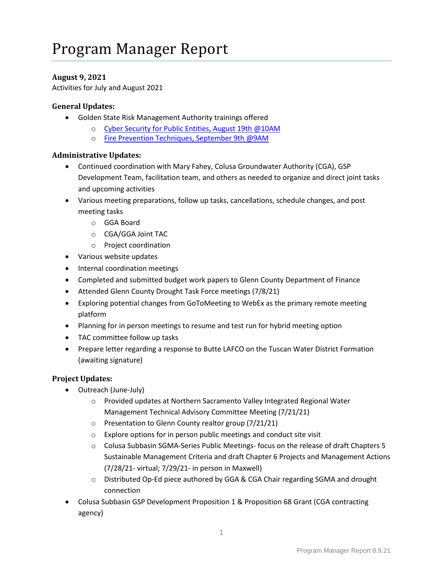## **August 9, 2021**

Activities for July and August 2021

### **General Updates:**

- Golden State Risk Management Authority trainings offered
	- o [Cyber Security for Public Entities, August 19th @10AM](https://gcc02.safelinks.protection.outlook.com/?url=https%3A%2F%2Fgsrma.us10.list-manage.com%2Ftrack%2Fclick%3Fu%3D63fb24d9302d280a77c883925%26id%3D248dae8062%26e%3D067f59d0d8&data=04%7C01%7Clhunter%40countyofglenn.net%7C036b53674c1542466e3208d91c7dbddc%7Cc4b8b9b4758f42d1ab7d7abbb2b863f9%7C0%7C0%7C637572150343904699%7CUnknown%7CTWFpbGZsb3d8eyJWIjoiMC4wLjAwMDAiLCJQIjoiV2luMzIiLCJBTiI6Ik1haWwiLCJXVCI6Mn0%3D%7C3000&sdata=AUTPJw5Sxo6ZQCUzg%2Bvl4MFWsUKqXbOx8Ifa0q95jSM%3D&reserved=0)
	- o [Fire Prevention Techniques, September 9th @9AM](https://gcc02.safelinks.protection.outlook.com/?url=https%3A%2F%2Fus02web.zoom.us%2Fwebinar%2Fregister%2FWN_24i6VpkxS5-yhFp24-83hg&data=04%7C01%7CLHunter%40countyofglenn.net%7Cad9087121c794a3c71cf08d9470cf948%7Cc4b8b9b4758f42d1ab7d7abbb2b863f9%7C0%7C0%7C637618943321084744%7CUnknown%7CTWFpbGZsb3d8eyJWIjoiMC4wLjAwMDAiLCJQIjoiV2luMzIiLCJBTiI6Ik1haWwiLCJXVCI6Mn0%3D%7C1000&sdata=b30xqPTI5f64CUpZbcAOPLZWwohJqwL86GaiGAsbgZo%3D&reserved=0)

#### **Administrative Updates:**

- Continued coordination with Mary Fahey, Colusa Groundwater Authority (CGA), GSP Development Team, facilitation team, and others as needed to organize and direct joint tasks and upcoming activities
- Various meeting preparations, follow up tasks, cancellations, schedule changes, and post meeting tasks
	- o GGA Board
	- o CGA/GGA Joint TAC
	- o Project coordination
- Various website updates
- Internal coordination meetings
- Completed and submitted budget work papers to Glenn County Department of Finance
- Attended Glenn County Drought Task Force meetings (7/8/21)
- Exploring potential changes from GoToMeeting to WebEx as the primary remote meeting platform
- Planning for in person meetings to resume and test run for hybrid meeting option
- TAC committee follow up tasks
- Prepare letter regarding a response to Butte LAFCO on the Tuscan Water District Formation (awaiting signature)

## **Project Updates:**

- Outreach (June-July)
	- o Provided updates at Northern Sacramento Valley Integrated Regional Water Management Technical Advisory Committee Meeting (7/21/21)
	- o Presentation to Glenn County realtor group (7/21/21)
	- o Explore options for in person public meetings and conduct site visit
	- o Colusa Subbasin SGMA-Series Public Meetings- focus on the release of draft Chapters 5 Sustainable Management Criteria and draft Chapter 6 Projects and Management Actions (7/28/21- virtual; 7/29/21- in person in Maxwell)
	- o Distributed Op-Ed piece authored by GGA & CGA Chair regarding SGMA and drought connection
- Colusa Subbasin GSP Development Proposition 1 & Proposition 68 Grant (CGA contracting agency)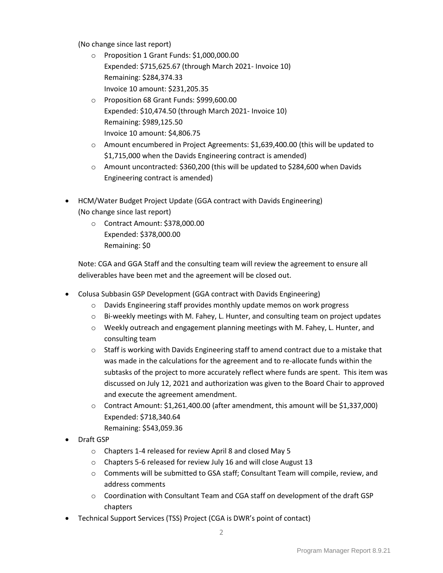(No change since last report)

- o Proposition 1 Grant Funds: \$1,000,000.00 Expended: \$715,625.67 (through March 2021- Invoice 10) Remaining: \$284,374.33 Invoice 10 amount: \$231,205.35
- o Proposition 68 Grant Funds: \$999,600.00 Expended: \$10,474.50 (through March 2021- Invoice 10) Remaining: \$989,125.50 Invoice 10 amount: \$4,806.75
- $\circ$  Amount encumbered in Project Agreements: \$1,639,400.00 (this will be updated to \$1,715,000 when the Davids Engineering contract is amended)
- o Amount uncontracted: \$360,200 (this will be updated to \$284,600 when Davids Engineering contract is amended)
- HCM/Water Budget Project Update (GGA contract with Davids Engineering) (No change since last report)
	- o Contract Amount: \$378,000.00 Expended: \$378,000.00 Remaining: \$0

Note: CGA and GGA Staff and the consulting team will review the agreement to ensure all deliverables have been met and the agreement will be closed out.

- Colusa Subbasin GSP Development (GGA contract with Davids Engineering)
	- o Davids Engineering staff provides monthly update memos on work progress
	- $\circ$  Bi-weekly meetings with M. Fahey, L. Hunter, and consulting team on project updates
	- $\circ$  Weekly outreach and engagement planning meetings with M. Fahey, L. Hunter, and consulting team
	- $\circ$  Staff is working with Davids Engineering staff to amend contract due to a mistake that was made in the calculations for the agreement and to re-allocate funds within the subtasks of the project to more accurately reflect where funds are spent. This item was discussed on July 12, 2021 and authorization was given to the Board Chair to approved and execute the agreement amendment.
	- o Contract Amount: \$1,261,400.00 (after amendment, this amount will be \$1,337,000) Expended: \$718,340.64 Remaining: \$543,059.36
- Draft GSP
	- o Chapters 1-4 released for review April 8 and closed May 5
	- o Chapters 5-6 released for review July 16 and will close August 13
	- o Comments will be submitted to GSA staff; Consultant Team will compile, review, and address comments
	- $\circ$  Coordination with Consultant Team and CGA staff on development of the draft GSP chapters
- Technical Support Services (TSS) Project (CGA is DWR's point of contact)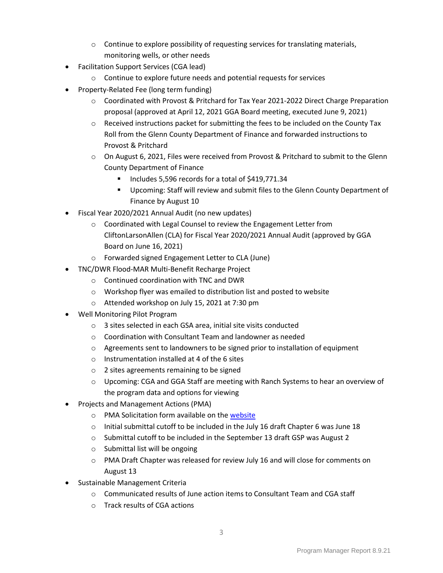- o Continue to explore possibility of requesting services for translating materials, monitoring wells, or other needs
- Facilitation Support Services (CGA lead)
	- o Continue to explore future needs and potential requests for services
- Property-Related Fee (long term funding)
	- o Coordinated with Provost & Pritchard for Tax Year 2021-2022 Direct Charge Preparation proposal (approved at April 12, 2021 GGA Board meeting, executed June 9, 2021)
	- o Received instructions packet for submitting the fees to be included on the County Tax Roll from the Glenn County Department of Finance and forwarded instructions to Provost & Pritchard
	- o On August 6, 2021, Files were received from Provost & Pritchard to submit to the Glenn County Department of Finance
		- Includes 5,596 records for a total of \$419,771.34
		- Upcoming: Staff will review and submit files to the Glenn County Department of Finance by August 10
- Fiscal Year 2020/2021 Annual Audit (no new updates)
	- o Coordinated with Legal Counsel to review the Engagement Letter from CliftonLarsonAllen (CLA) for Fiscal Year 2020/2021 Annual Audit (approved by GGA Board on June 16, 2021)
	- o Forwarded signed Engagement Letter to CLA (June)
- TNC/DWR Flood-MAR Multi-Benefit Recharge Project
	- o Continued coordination with TNC and DWR
	- o Workshop flyer was emailed to distribution list and posted to website
	- o Attended workshop on July 15, 2021 at 7:30 pm
- Well Monitoring Pilot Program
	- o 3 sites selected in each GSA area, initial site visits conducted
	- o Coordination with Consultant Team and landowner as needed
	- $\circ$  Agreements sent to landowners to be signed prior to installation of equipment
	- o Instrumentation installed at 4 of the 6 sites
	- o 2 sites agreements remaining to be signed
	- o Upcoming: CGA and GGA Staff are meeting with Ranch Systems to hear an overview of the program data and options for viewing
- Projects and Management Actions (PMA)
	- o PMA Solicitation form available on the [website](https://www.countyofglenn.net/resources/groundwater-authority-groundwater-authority-executive-committee-groundwater-authority)
	- $\circ$  Initial submittal cutoff to be included in the July 16 draft Chapter 6 was June 18
	- o Submittal cutoff to be included in the September 13 draft GSP was August 2
	- o Submittal list will be ongoing
	- o PMA Draft Chapter was released for review July 16 and will close for comments on August 13
- Sustainable Management Criteria
	- $\circ$  Communicated results of June action items to Consultant Team and CGA staff
	- o Track results of CGA actions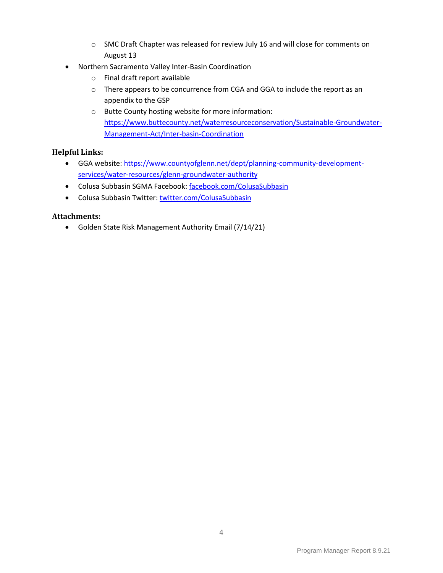- o SMC Draft Chapter was released for review July 16 and will close for comments on August 13
- Northern Sacramento Valley Inter-Basin Coordination
	- o Final draft report available
	- o There appears to be concurrence from CGA and GGA to include the report as an appendix to the GSP
	- o Butte County hosting website for more information: [https://www.buttecounty.net/waterresourceconservation/Sustainable-Groundwater-](https://www.buttecounty.net/waterresourceconservation/Sustainable-Groundwater-Management-Act/Inter-basin-Coordination)[Management-Act/Inter-basin-Coordination](https://www.buttecounty.net/waterresourceconservation/Sustainable-Groundwater-Management-Act/Inter-basin-Coordination)

# **Helpful Links:**

- GGA website: [https://www.countyofglenn.net/dept/planning-community-development](https://www.countyofglenn.net/dept/planning-community-development-services/water-resources/glenn-groundwater-authority)[services/water-resources/glenn-groundwater-authority](https://www.countyofglenn.net/dept/planning-community-development-services/water-resources/glenn-groundwater-authority)
- Colusa Subbasin SGMA Facebook: [facebook.com/ColusaSubbasin](https://www.facebook.com/ColusaSubbasin)
- Colusa Subbasin Twitter: [twitter.com/ColusaSubbasin](https://twitter.com/ColusaSubbasin)

## **Attachments:**

• Golden State Risk Management Authority Email (7/14/21)